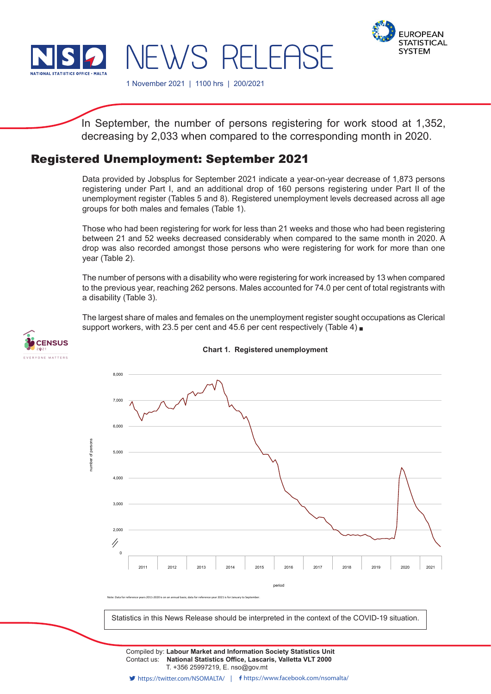



1 November 2021 | 1100 hrs | 200/2021

NEWS RELEASE

In September, the number of persons registering for work stood at 1,352, decreasing by 2,033 when compared to the corresponding month in 2020.

## Registered Unemployment: September 2021

Data provided by Jobsplus for September 2021 indicate a year-on-year decrease of 1,873 persons registering under Part I, and an additional drop of 160 persons registering under Part II of the unemployment register (Tables 5 and 8). Registered unemployment levels decreased across all age groups for both males and females (Table 1).

Those who had been registering for work for less than 21 weeks and those who had been registering between 21 and 52 weeks decreased considerably when compared to the same month in 2020. A drop was also recorded amongst those persons who were registering for work for more than one year (Table 2).

The number of persons with a disability who were registering for work increased by 13 when compared to the previous year, reaching 262 persons. Males accounted for 74.0 per cent of total registrants with a disability (Table 3).

The largest share of males and females on the unemployment register sought occupations as Clerical support workers, with 23.5 per cent and 45.6 per cent respectively (Table 4)



**Chart 1. Registered unemployment**



Statistics in this News Release should be interpreted in the context of the COVID-19 situation.

Contact us: **National Statistics Office, Lascaris, Valletta VLT 2000** T. +356 25997219, E. nso@gov.mt Compiled by: **Labour Market and Information Society Statistics Unit**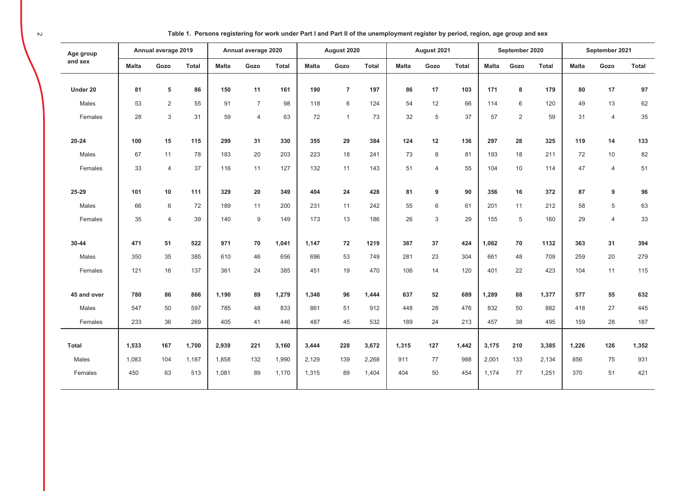| Table 1. Persons registering for work under Part I and Part II of the unemployment register by period, region, age group and sex |  |
|----------------------------------------------------------------------------------------------------------------------------------|--|
|----------------------------------------------------------------------------------------------------------------------------------|--|

| Age group    |              | Annual average 2019 |              |              | Annual average 2020 |              |              | August 2020    |              |              | August 2021    |       |              | September 2020 |              |              | September 2021 |       |
|--------------|--------------|---------------------|--------------|--------------|---------------------|--------------|--------------|----------------|--------------|--------------|----------------|-------|--------------|----------------|--------------|--------------|----------------|-------|
| and sex      | <b>Malta</b> | Gozo                | <b>Total</b> | <b>Malta</b> | Gozo                | <b>Total</b> | <b>Malta</b> | Gozo           | <b>Total</b> | <b>Malta</b> | Gozo           | Total | <b>Malta</b> | Gozo           | <b>Total</b> | <b>Malta</b> | Gozo           | Total |
|              |              |                     |              |              |                     |              |              |                |              |              |                |       |              |                |              |              |                |       |
| Under 20     | 81           | 5                   | 86           | 150          | 11                  | 161          | 190          | $\overline{7}$ | 197          | 86           | 17             | 103   | 171          | 8              | 179          | 80           | 17             | 97    |
| Males        | 53           | 2                   | 55           | 91           | $\overline{7}$      | 98           | 118          | 6              | 124          | 54           | 12             | 66    | 114          | 6              | 120          | 49           | 13             | 62    |
| Females      | 28           | $\mathbf{3}$        | 31           | 59           | $\overline{4}$      | 63           | 72           | $\mathbf{1}$   | 73           | 32           | 5              | 37    | 57           | $\overline{2}$ | 59           | 31           | $\overline{4}$ | 35    |
| $20 - 24$    | 100          | 15                  | 115          | 299          | 31                  | 330          | 355          | 29             | 384          | 124          | 12             | 136   | 297          | 28             | 325          | 119          | 14             | 133   |
| Males        | 67           | 11                  | 78           | 183          | 20                  | 203          | 223          | 18             | 241          | 73           | 8              | 81    | 193          | 18             | 211          | 72           | 10             | 82    |
| Females      | 33           | $\overline{4}$      | 37           | 116          | 11                  | 127          | 132          | 11             | 143          | 51           | $\overline{4}$ | 55    | 104          | 10             | 114          | 47           | $\overline{4}$ | 51    |
|              |              |                     |              |              |                     |              |              |                |              |              |                |       |              |                |              |              |                |       |
| 25-29        | 101          | 10                  | 111          | 329          | 20                  | 349          | 404          | 24             | 428          | 81           | 9              | 90    | 356          | 16             | 372          | 87           | 9              | 96    |
| Males        | 66           | 6                   | 72           | 189          | 11                  | 200          | 231          | 11             | 242          | 55           | 6              | 61    | 201          | 11             | 212          | 58           | 5              | 63    |
| Females      | 35           | $\overline{4}$      | 39           | 140          | 9                   | 149          | 173          | 13             | 186          | 26           | 3              | 29    | 155          | 5              | 160          | 29           | $\overline{4}$ | 33    |
|              |              |                     |              |              |                     |              |              |                |              |              |                |       |              |                |              |              |                |       |
| $30 - 44$    | 471          | 51                  | 522          | 971          | 70                  | 1,041        | 1,147        | 72             | 1219         | 387          | 37             | 424   | 1,062        | 70             | 1132         | 363          | 31             | 394   |
| Males        | 350          | 35                  | 385          | 610          | 46                  | 656          | 696          | 53             | 749          | 281          | 23             | 304   | 661          | 48             | 709          | 259          | 20             | 279   |
| Females      | 121          | 16                  | 137          | 361          | 24                  | 385          | 451          | 19             | 470          | 106          | 14             | 120   | 401          | 22             | 423          | 104          | 11             | 115   |
|              |              |                     |              |              |                     |              |              |                |              |              |                |       |              |                |              |              |                |       |
| 45 and over  | 780          | 86                  | 866          | 1,190        | 89                  | 1,279        | 1,348        | 96             | 1,444        | 637          | 52             | 689   | 1,289        | 88             | 1,377        | 577          | 55             | 632   |
| Males        | 547          | 50                  | 597          | 785          | 48                  | 833          | 861          | 51             | 912          | 448          | 28             | 476   | 832          | 50             | 882          | 418          | 27             | 445   |
| Females      | 233          | 36                  | 269          | 405          | 41                  | 446          | 487          | 45             | 532          | 189          | 24             | 213   | 457          | 38             | 495          | 159          | 28             | 187   |
|              |              |                     |              |              |                     |              |              |                |              |              |                |       |              |                |              |              |                |       |
| <b>Total</b> | 1,533        | 167                 | 1,700        | 2,939        | 221                 | 3,160        | 3,444        | 228            | 3,672        | 1,315        | 127            | 1,442 | 3,175        | 210            | 3,385        | 1,226        | 126            | 1,352 |
| Males        | 1,083        | 104                 | 1,187        | 1,858        | 132                 | 1,990        | 2,129        | 139            | 2,268        | 911          | 77             | 988   | 2,001        | 133            | 2,134        | 856          | 75             | 931   |
| Females      | 450          | 63                  | 513          | 1,081        | 89                  | 1,170        | 1,315        | 89             | 1,404        | 404          | 50             | 454   | 1,174        | 77             | 1,251        | 370          | 51             | 421   |
|              |              |                     |              |              |                     |              |              |                |              |              |                |       |              |                |              |              |                |       |

 $\sim$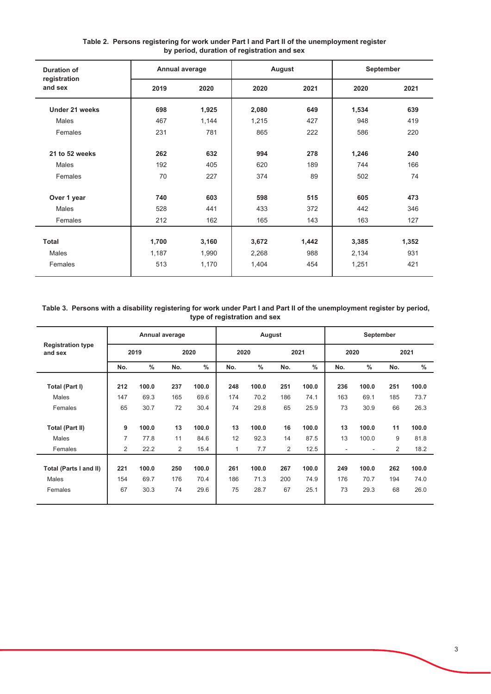| <b>Duration of</b>      | Annual average |       | August |       | September |       |
|-------------------------|----------------|-------|--------|-------|-----------|-------|
| registration<br>and sex | 2019           | 2020  | 2020   | 2021  | 2020      | 2021  |
| Under 21 weeks          | 698            | 1,925 | 2,080  | 649   | 1,534     | 639   |
| Males                   | 467            | 1,144 | 1,215  | 427   | 948       | 419   |
| Females                 | 231            | 781   | 865    | 222   | 586       | 220   |
| 21 to 52 weeks          | 262            | 632   | 994    | 278   | 1,246     | 240   |
| Males                   | 192            | 405   | 620    | 189   | 744       | 166   |
| Females                 | 70             | 227   | 374    | 89    | 502       | 74    |
| Over 1 year             | 740            | 603   | 598    | 515   | 605       | 473   |
| Males                   | 528            | 441   | 433    | 372   | 442       | 346   |
| Females                 | 212            | 162   | 165    | 143   | 163       | 127   |
|                         |                |       |        |       |           |       |
| <b>Total</b>            | 1,700          | 3,160 | 3,672  | 1,442 | 3,385     | 1,352 |
| Males                   | 1,187          | 1,990 | 2,268  | 988   | 2,134     | 931   |
| Females                 | 513            | 1,170 | 1,404  | 454   | 1,251     | 421   |

# Table 2. Persons registering for work under Part I and Part II of the unemployment register<br>by period, duration of registration and sex

#### Table 3. Persons with a disability registering for work under Part I and Part II of the unemployment register by period, type of registration and sex

|                                     |                |               | Annual average |               |     | August |     |               |                              | September     |     |       |
|-------------------------------------|----------------|---------------|----------------|---------------|-----|--------|-----|---------------|------------------------------|---------------|-----|-------|
| <b>Registration type</b><br>and sex |                | 2019          |                | 2020          |     | 2020   |     | 2021          | 2020                         |               |     | 2021  |
|                                     | No.            | $\frac{0}{0}$ | No.            | $\frac{0}{0}$ | No. | $\%$   | No. | $\frac{0}{0}$ | No.                          | $\frac{0}{0}$ | No. | $\%$  |
| Total (Part I)                      | 212            | 100.0         | 237            | 100.0         | 248 | 100.0  | 251 | 100.0         | 236                          | 100.0         | 251 | 100.0 |
| Males                               | 147            | 69.3          | 165            | 69.6          | 174 | 70.2   | 186 | 74.1          | 163                          | 69.1          | 185 | 73.7  |
| Females                             | 65             | 30.7          | 72             | 30.4          | 74  | 29.8   | 65  | 25.9          | 73                           | 30.9          | 66  | 26.3  |
| <b>Total (Part II)</b>              | 9              | 100.0         | 13             | 100.0         | 13  | 100.0  | 16  | 100.0         | 13                           | 100.0         | 11  | 100.0 |
| Males                               | 7              | 77.8          | 11             | 84.6          | 12  | 92.3   | 14  | 87.5          | 13                           | 100.0         | 9   | 81.8  |
| Females                             | $\overline{2}$ | 22.2          | 2              | 15.4          | 1   | 7.7    | 2   | 12.5          | $\qquad \qquad \blacksquare$ | ۰             | 2   | 18.2  |
|                                     |                |               |                |               |     |        |     |               |                              |               |     |       |
| Total (Parts I and II)              | 221            | 100.0         | 250            | 100.0         | 261 | 100.0  | 267 | 100.0         | 249                          | 100.0         | 262 | 100.0 |
| Males                               | 154            | 69.7          | 176            | 70.4          | 186 | 71.3   | 200 | 74.9          | 176                          | 70.7          | 194 | 74.0  |
| Females                             | 67             | 30.3          | 74             | 29.6          | 75  | 28.7   | 67  | 25.1          | 73                           | 29.3          | 68  | 26.0  |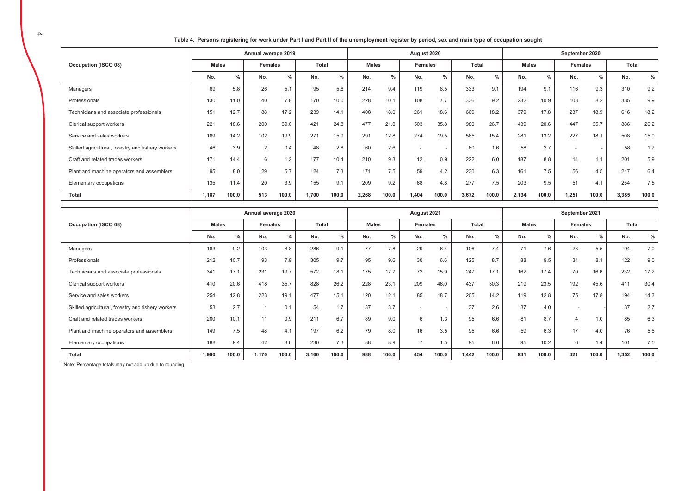Table 4. Persons registering for work under Part I and Part II of the unemployment register by period, sex and main type of occupation sought

|                                                    |              |       | Annual average 2019 |       |       |       |              |       | August 2020 |       |       |               |              |       | September 2020           |               |       |       |
|----------------------------------------------------|--------------|-------|---------------------|-------|-------|-------|--------------|-------|-------------|-------|-------|---------------|--------------|-------|--------------------------|---------------|-------|-------|
| Occupation (ISCO 08)                               | <b>Males</b> |       | Females             |       | Total |       | <b>Males</b> |       | Females     |       | Total |               | <b>Males</b> |       | <b>Females</b>           |               | Total |       |
|                                                    | No.          | $\%$  | No.                 | $\%$  | No.   | $\%$  | No.          | $\%$  | No.         | $\%$  | No.   | $\frac{0}{0}$ | No.          | %     | No.                      | $\frac{0}{0}$ | No.   | $\%$  |
| Managers                                           | 69           | 5.8   | 26                  | 5.1   | 95    | 5.6   | 214          | 9.4   | 119         | 8.5   | 333   | 9.1           | 194          | 9.1   | 116                      | 9.3           | 310   | 9.2   |
| Professionals                                      | 130          | 11.0  | 40                  | 7.8   | 170   | 10.0  | 228          | 10.1  | 108         | 7.7   | 336   | 9.2           | 232          | 10.9  | 103                      | 8.2           | 335   | 9.9   |
| Technicians and associate professionals            | 151          | 12.7  | 88                  | 17.2  | 239   | 14.1  | 408          | 18.0  | 261         | 18.6  | 669   | 18.2          | 379          | 17.8  | 237                      | 18.9          | 616   | 18.2  |
| Clerical support workers                           | 221          | 18.6  | 200                 | 39.0  | 421   | 24.8  | 477          | 21.0  | 503         | 35.8  | 980   | 26.7          | 439          | 20.6  | 447                      | 35.7          | 886   | 26.2  |
| Service and sales workers                          | 169          | 14.2  | 102                 | 19.9  | 271   | 15.9  | 291          | 12.8  | 274         | 19.5  | 565   | 15.4          | 281          | 13.2  | 227                      | 18.1          | 508   | 15.0  |
| Skilled agricultural, forestry and fishery workers | 46           | 3.9   | $\overline{2}$      | 0.4   | 48    | 2.8   | 60           | 2.6   |             |       | 60    | 1.6           | 58           | 2.7   | $\overline{\phantom{a}}$ |               | 58    | 1.7   |
| Craft and related trades workers                   | 171          | 14.4  | 6                   | 1.2   | 177   | 10.4  | 210          | 9.3   | 12          | 0.9   | 222   | 6.0           | 187          | 8.8   | 14                       |               | 201   | 5.9   |
| Plant and machine operators and assemblers         | 95           | 8.0   | 29                  | 5.7   | 124   | 7.3   | 171          | 7.5   | 59          | 4.2   | 230   | 6.3           | 161          | 7.5   | 56                       | 4.5           | 217   | 6.4   |
| Elementary occupations                             | 135          | 11.4  | 20                  | 3.9   | 155   | 9.1   | 209          | 9.2   | 68          | 4.8   | 277   | 7.5           | 203          | 9.5   | 51                       | 4.1           | 254   | 7.5   |
| Total                                              | 1.187        | 100.0 | 513                 | 100.0 | 1,700 | 100.0 | 2,268        | 100.0 | 1,404       | 100.0 | 3,672 | 100.0         | 2,134        | 100.0 | 1,251                    | 100.0         | 3,385 | 100.0 |

|                                                    |              |               | Annual average 2020 |       |       |       |              |               | August 2021 |       |              |       |              |       | September 2021 |       |       |       |
|----------------------------------------------------|--------------|---------------|---------------------|-------|-------|-------|--------------|---------------|-------------|-------|--------------|-------|--------------|-------|----------------|-------|-------|-------|
| Occupation (ISCO 08)                               | <b>Males</b> |               | Females             |       | Total |       | <b>Males</b> |               | Females     |       | <b>Total</b> |       | <b>Males</b> |       | Females        |       | Total |       |
|                                                    | No.          | $\frac{9}{6}$ | No.                 | $\%$  | No.   | %     | No.          | $\frac{0}{0}$ | No.         | $\%$  | No.          | $\%$  | No.          | $\%$  | No.            | %     | No.   | %     |
| Managers                                           | 183          | 9.2           | 103                 | 8.8   | 286   | 9.1   | 77           | 7.8           | 29          | 6.4   | 106          | 7.4   | 71           | 7.6   | 23             | 5.5   | 94    | 7.0   |
| Professionals                                      | 212          | 10.7          | 93                  | 7.9   | 305   | 9.7   | 95           | 9.6           | 30          | 6.6   | 125          | 8.7   | 88           | 9.5   | 34             | 8.1   | 122   | 9.0   |
| Technicians and associate professionals            | 341          | 17.1          | 231                 | 19.7  | 572   | 18.1  | 175          | 17.7          | 72          | 15.9  | 247          | 17.1  | 162          | 17.4  | 70             | 16.6  | 232   | 17.2  |
| Clerical support workers                           | 410          | 20.6          | 418                 | 35.7  | 828   | 26.2  | 228          | 23.1          | 209         | 46.0  | 437          | 30.3  | 219          | 23.5  | 192            | 45.6  | 411   | 30.4  |
| Service and sales workers                          | 254          | 12.8          | 223                 | 19.1  | 477   | 15.1  | 120          | 12.1          | 85          | 18.7  | 205          | 14.2  | 119          | 12.8  | 75             | 17.8  | 194   | 14.3  |
| Skilled agricultural, forestry and fishery workers | 53           | 2.7           |                     | 0.1   | 54    | 1.7   | 37           | 3.7           |             |       | 37           | 2.6   | 37           | 4.0   |                |       | 37    | 2.7   |
| Craft and related trades workers                   | 200          | 10.1          | 11                  | 0.9   | 211   | 6.7   | 89           | 9.0           | 6           | 1.3   | 95           | 6.6   | 81           | 8.7   | 4              | 1.0   | 85    | 6.3   |
| Plant and machine operators and assemblers         | 149          | 7.5           | 48                  | 4.1   | 197   | 6.2   | 79           | 8.0           | 16          | 3.5   | 95           | 6.6   | 59           | 6.3   | 17             | 4.0   | 76    | 5.6   |
| Elementary occupations                             | 188          | 9.4           | 42                  | 3.6   | 230   | 7.3   | 88           | 8.9           |             | 1.5   | 95           | 6.6   | 95           | 10.2  | 6              | 1.4   | 101   | 7.5   |
| Total                                              | 1,990        | 100.0         | 1,170               | 100.0 | 3,160 | 100.0 | 988          | 100.0         | 454         | 100.0 | 1,442        | 100.0 | 931          | 100.0 | 421            | 100.0 | 1,352 | 100.0 |

Note: Percentage totals may not add up due to rounding.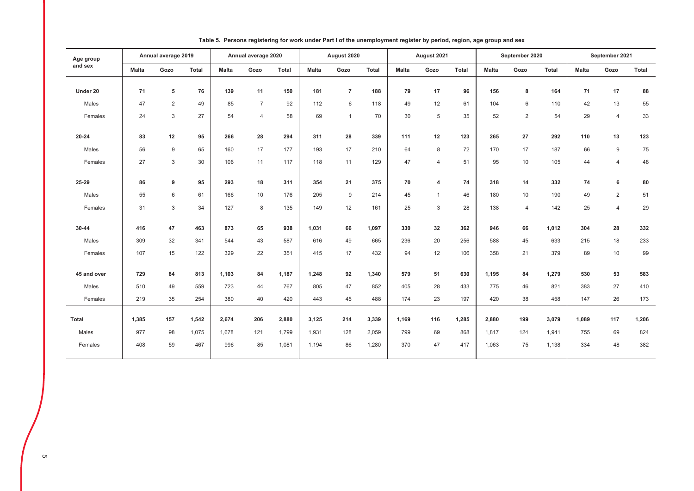| Age group    |              | Annual average 2019 |       |              | Annual average 2020 |              |              | August 2020    |       |              | August 2021    |       |              | September 2020 |       |              | September 2021 |       |
|--------------|--------------|---------------------|-------|--------------|---------------------|--------------|--------------|----------------|-------|--------------|----------------|-------|--------------|----------------|-------|--------------|----------------|-------|
| and sex      | <b>Malta</b> | Gozo                | Total | <b>Malta</b> | Gozo                | <b>Total</b> | <b>Malta</b> | Gozo           | Total | <b>Malta</b> | Gozo           | Total | <b>Malta</b> | Gozo           | Total | <b>Malta</b> | Gozo           | Total |
| Under 20     | 71           | 5                   | 76    | 139          | 11                  | 150          | 181          | $\overline{7}$ | 188   | 79           | 17             | 96    | 156          | 8              | 164   | 71           | 17             | 88    |
| Males        | 47           | 2                   | 49    | 85           | $\overline{7}$      | 92           | 112          | 6              | 118   | 49           | 12             | 61    | 104          | 6              | 110   | 42           | 13             | 55    |
| Females      | 24           | $\mathbf{3}$        | 27    | 54           | $\overline{4}$      | 58           | 69           | $\mathbf{1}$   | 70    | 30           | 5              | 35    | 52           | $\overline{2}$ | 54    | 29           | 4              | 33    |
| $20 - 24$    | 83           | 12                  | 95    | 266          | 28                  | 294          | 311          | 28             | 339   | 111          | 12             | 123   | 265          | 27             | 292   | 110          | 13             | 123   |
| Males        | 56           | $\overline{9}$      | 65    | 160          | 17                  | 177          | 193          | 17             | 210   | 64           | 8              | 72    | 170          | 17             | 187   | 66           | 9              | 75    |
| Females      | 27           | 3                   | 30    | 106          | 11                  | 117          | 118          | 11             | 129   | 47           | $\overline{4}$ | 51    | 95           | 10             | 105   | 44           | $\overline{4}$ | 48    |
|              |              |                     |       |              |                     |              |              |                |       |              |                |       |              |                |       |              |                |       |
| 25-29        | 86           | 9                   | 95    | 293          | 18                  | 311          | 354          | 21             | 375   | 70           | 4              | 74    | 318          | 14             | 332   | 74           | 6              | 80    |
| Males        | 55           | 6                   | 61    | 166          | 10                  | 176          | 205          | 9              | 214   | 45           | $\mathbf{1}$   | 46    | 180          | 10             | 190   | 49           | $\overline{2}$ | 51    |
| Females      | 31           | 3                   | 34    | 127          | 8                   | 135          | 149          | 12             | 161   | 25           | 3              | 28    | 138          | $\overline{4}$ | 142   | 25           | $\overline{4}$ | 29    |
| 30-44        | 416          | 47                  | 463   | 873          | 65                  | 938          | 1,031        | 66             | 1,097 | 330          | 32             | 362   | 946          | 66             | 1,012 | 304          | 28             | 332   |
| Males        | 309          | 32                  | 341   | 544          | 43                  | 587          | 616          | 49             | 665   | 236          | 20             | 256   | 588          | 45             | 633   | 215          | 18             | 233   |
| Females      | 107          | 15                  | 122   | 329          | 22                  | 351          | 415          | 17             | 432   | 94           | 12             | 106   | 358          | 21             | 379   | 89           | 10             | 99    |
|              |              |                     |       |              |                     |              |              |                |       |              |                |       |              |                |       |              |                |       |
| 45 and over  | 729          | 84                  | 813   | 1,103        | 84                  | 1,187        | 1,248        | 92             | 1,340 | 579          | 51             | 630   | 1,195        | 84             | 1,279 | 530          | 53             | 583   |
| Males        | 510          | 49                  | 559   | 723          | 44                  | 767          | 805          | 47             | 852   | 405          | 28             | 433   | 775          | 46             | 821   | 383          | 27             | 410   |
| Females      | 219          | 35                  | 254   | 380          | 40                  | 420          | 443          | 45             | 488   | 174          | 23             | 197   | 420          | 38             | 458   | 147          | 26             | 173   |
| <b>Total</b> | 1,385        | 157                 | 1,542 | 2,674        | 206                 | 2,880        | 3,125        | 214            | 3,339 | 1,169        | 116            | 1,285 | 2,880        | 199            | 3,079 | 1,089        | 117            | 1,206 |
| Males        | 977          | 98                  | 1,075 | 1,678        | 121                 | 1,799        | 1,931        | 128            | 2,059 | 799          | 69             | 868   | 1,817        | 124            | 1,941 | 755          | 69             | 824   |
| Females      | 408          | 59                  | 467   | 996          | 85                  | 1,081        | 1,194        | 86             | 1,280 | 370          | 47             | 417   | 1,063        | 75             | 1,138 | 334          | 48             | 382   |

#### Table 5. Persons registering for work under Part I of the unemployment register by period, region, age group and sex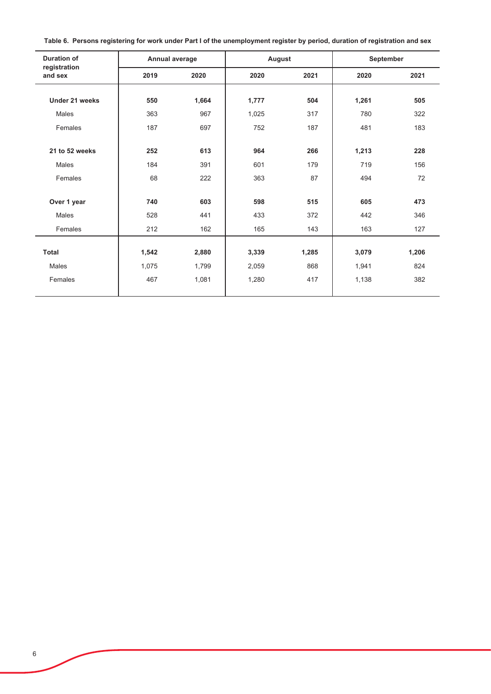| Table 6. Persons registering for work under Part I of the unemployment register by period, duration of registration and sex |  |
|-----------------------------------------------------------------------------------------------------------------------------|--|
|-----------------------------------------------------------------------------------------------------------------------------|--|

| <b>Duration of</b>      | Annual average |       | August |       | September |       |
|-------------------------|----------------|-------|--------|-------|-----------|-------|
| registration<br>and sex | 2019           | 2020  | 2020   | 2021  | 2020      | 2021  |
| Under 21 weeks          | 550            | 1,664 | 1,777  | 504   | 1,261     | 505   |
| Males                   | 363            | 967   | 1,025  | 317   | 780       | 322   |
| Females                 | 187            | 697   | 752    | 187   | 481       | 183   |
|                         |                |       |        |       |           |       |
| 21 to 52 weeks          | 252            | 613   | 964    | 266   | 1,213     | 228   |
| Males                   | 184            | 391   | 601    | 179   | 719       | 156   |
| Females                 | 68             | 222   | 363    | 87    | 494       | 72    |
|                         |                |       |        |       |           |       |
| Over 1 year             | 740            | 603   | 598    | 515   | 605       | 473   |
| Males                   | 528            | 441   | 433    | 372   | 442       | 346   |
| Females                 | 212            | 162   | 165    | 143   | 163       | 127   |
|                         |                |       |        |       |           |       |
| <b>Total</b>            | 1,542          | 2,880 | 3,339  | 1,285 | 3,079     | 1,206 |
| Males                   | 1,075          | 1,799 | 2,059  | 868   | 1,941     | 824   |
| Females                 | 467            | 1,081 | 1,280  | 417   | 1,138     | 382   |
|                         |                |       |        |       |           |       |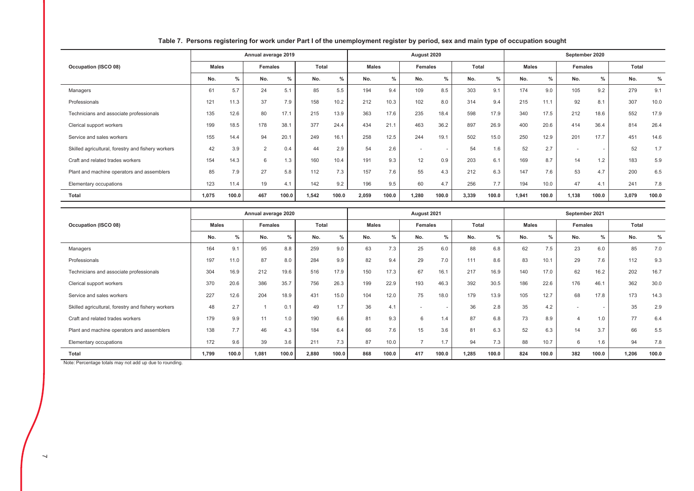|                                                    |              |       | Annual average 2019 |       |       |               |              |       | August 2020    |               |       |       |              |       | September 2020 |               |              |       |
|----------------------------------------------------|--------------|-------|---------------------|-------|-------|---------------|--------------|-------|----------------|---------------|-------|-------|--------------|-------|----------------|---------------|--------------|-------|
| Occupation (ISCO 08)                               | <b>Males</b> |       | Females             |       | Total |               | <b>Males</b> |       | Females        |               | Total |       | <b>Males</b> |       | Females        |               | <b>Total</b> |       |
|                                                    | No.          | $\%$  | No.                 | $\%$  | No.   | $\frac{0}{0}$ | No.          | $\%$  | No.            | $\frac{0}{0}$ | No.   | $\%$  | No.          | %     | No.            | $\frac{9}{6}$ | No.          | $\%$  |
| Managers                                           | 61           | 5.7   | 24                  | 5.1   | 85    | 5.5           | 194          | 9.4   | 109            | 8.5           | 303   | 9.1   | 174          | 9.0   | 105            | 9.2           | 279          | 9.1   |
| Professionals                                      | 121          | 11.3  | 37                  | 7.9   | 158   | 10.2          | 212          | 10.3  | 102            | 8.0           | 314   | 9.4   | 215          | 11.1  | 92             | 8.1           | 307          | 10.0  |
| Technicians and associate professionals            | 135          | 12.6  | 80                  | 17.1  | 215   | 13.9          | 363          | 17.6  | 235            | 18.4          | 598   | 17.9  | 340          | 17.5  | 212            | 18.6          | 552          | 17.9  |
| Clerical support workers                           | 199          | 18.5  | 178                 | 38.1  | 377   | 24.4          | 434          | 21.1  | 463            | 36.2          | 897   | 26.9  | 400          | 20.6  | 414            | 36.4          | 814          | 26.4  |
| Service and sales workers                          | 155          | 14.4  | 94                  | 20.1  | 249   | 16.1          | 258          | 12.5  | 244            | 19.1          | 502   | 15.0  | 250          | 12.9  | 201            | 17.7          | 451          | 14.6  |
| Skilled agricultural, forestry and fishery workers | 42           | 3.9   | 2                   | 0.4   | 44    | 2.9           | 54           | 2.6   | $\overline{a}$ |               | 54    | 1.6   | 52           | 2.7   |                |               | 52           | 1.7   |
| Craft and related trades workers                   | 154          | 14.3  | 6                   | 1.3   | 160   | 10.4          | 191          | 9.3   | 12             | 0.9           | 203   | 6.1   | 169          | 8.7   | 14             | 1.2           | 183          | 5.9   |
| Plant and machine operators and assemblers         | 85           | 7.9   | 27                  | 5.8   | 112   | 7.3           | 157          | 7.6   | 55             | 4.3           | 212   | 6.3   | 147          | 7.6   | 53             | 4.7           | 200          | 6.5   |
| Elementary occupations                             | 123          | 11.4  | 19                  | 4.1   | 142   | 9.2           | 196          | 9.5   | 60             | 4.7           | 256   | 7.7   | 194          | 10.0  | 47             | 4.1           | 241          | 7.8   |
| Total                                              | 1,075        | 100.0 | 467                 | 100.0 | 1,542 | 100.0         | 2,059        | 100.0 | 1,280          | 100.0         | 3,339 | 100.0 | 1,941        | 100.0 | 1,138          | 100.0         | 3,079        | 100.0 |

### Table 7. Persons registering for work under Part I of the unemployment register by period, sex and main type of occupation sought

|                                                    |              |       | Annual average 2020 |       |              |       |              |       | August 2021              |       |       |               |              |               | September 2021 |       |       |       |
|----------------------------------------------------|--------------|-------|---------------------|-------|--------------|-------|--------------|-------|--------------------------|-------|-------|---------------|--------------|---------------|----------------|-------|-------|-------|
| Occupation (ISCO 08)                               | <b>Males</b> |       | Females             |       | <b>Total</b> |       | <b>Males</b> |       | <b>Females</b>           |       | Total |               | <b>Males</b> |               | Females        |       | Total |       |
|                                                    | No.          | $\%$  | No.                 | $\%$  | No.          | $\%$  | No.          | %     | No.                      | $\%$  | No.   | $\frac{9}{6}$ | No.          | $\frac{0}{0}$ | No.            | %     | No.   | $\%$  |
| Managers                                           | 164          | 9.1   | 95                  | 8.8   | 259          | 9.0   | 63           | 7.3   | 25                       | 6.0   | 88    | 6.8           | 62           | 7.5           | 23             | 6.0   | 85    | 7.0   |
| Professionals                                      | 197          | 11.0  | 87                  | 8.0   | 284          | 9.9   | 82           | 9.4   | 29                       | 7.0   | 111   | 8.6           | 83           | 10.1          | 29             | 7.6   | 112   | 9.3   |
| Technicians and associate professionals            | 304          | 16.9  | 212                 | 19.6  | 516          | 17.9  | 150          | 17.3  | 67                       | 16.1  | 217   | 16.9          | 140          | 17.0          | 62             | 16.2  | 202   | 16.7  |
| Clerical support workers                           | 370          | 20.6  | 386                 | 35.7  | 756          | 26.3  | 199          | 22.9  | 193                      | 46.3  | 392   | 30.5          | 186          | 22.6          | 176            | 46.   | 362   | 30.0  |
| Service and sales workers                          | 227          | 12.6  | 204                 | 18.9  | 431          | 15.0  | 104          | 12.0  | 75                       | 18.0  | 179   | 13.9          | 105          | 12.7          | 68             | 17.8  | 173   | 14.3  |
| Skilled agricultural, forestry and fishery workers | 48           | 2.7   |                     | 0.1   | 49           | 1.7   | 36           | 4.1   | $\overline{\phantom{a}}$ |       | 36    | 2.8           | 35           | 4.2           | $\overline{a}$ |       | 35    | 2.9   |
| Craft and related trades workers                   | 179          | 9.9   | 11                  | 1.0   | 190          | 6.6   | 81           | 9.3   | 6                        | 1.4   | 87    | 6.8           | 73           | 8.9           |                |       | 77    | 6.4   |
| Plant and machine operators and assemblers         | 138          | 7.7   | 46                  | 4.3   | 184          | 6.4   | 66           | 7.6   | 15                       | 3.6   | 81    | 6.3           | 52           | 6.3           | 14             | 3.7   | 66    | 5.5   |
| Elementary occupations                             | 172          | 9.6   | 39                  | 3.6   | 211          | 7.3   | 87           | 10.0  |                          | 1.7   | 94    | 7.3           | 88           | 10.7          | 6              | 1.6   | 94    | 7.8   |
| Total                                              | 1,799        | 100.0 | 1,081               | 100.0 | 2,880        | 100.0 | 868          | 100.0 | 417                      | 100.0 | 1,285 | 100.0         | 824          | 100.0         | 382            | 100.0 | 1,206 | 100.0 |

Note: Percentage totals may not add up due to rounding.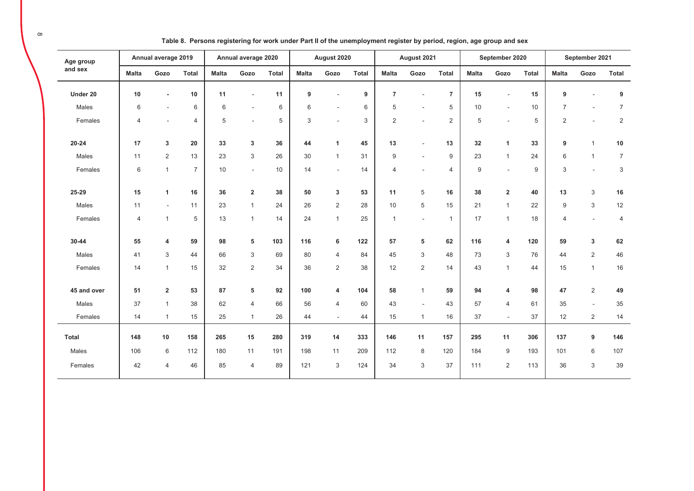| Age group    |                | Annual average 2019      |                |              | Annual average 2020     |              |              | August 2020              |              |                | August 2021              |                |              | September 2020          |              |                  | September 2021 |                |
|--------------|----------------|--------------------------|----------------|--------------|-------------------------|--------------|--------------|--------------------------|--------------|----------------|--------------------------|----------------|--------------|-------------------------|--------------|------------------|----------------|----------------|
| and sex      | <b>Malta</b>   | Gozo                     | <b>Total</b>   | <b>Malta</b> | Gozo                    | <b>Total</b> | <b>Malta</b> | Gozo                     | <b>Total</b> | <b>Malta</b>   | Gozo                     | <b>Total</b>   | <b>Malta</b> | Gozo                    | <b>Total</b> | <b>Malta</b>     | Gozo           | <b>Total</b>   |
| Under 20     | 10             | $\blacksquare$           | $10$           | 11           |                         | 11           | 9            |                          | 9            | $\overline{7}$ |                          | $\overline{7}$ | 15           |                         | 15           | 9                |                | 9              |
| Males        | 6              | $\overline{\phantom{a}}$ | 6              | 6            | $\blacksquare$          | 6            | 6            |                          | 6            | 5              |                          | 5              | 10           |                         | 10           | $\overline{7}$   |                | $\overline{7}$ |
| Females      | $\overline{4}$ | $\overline{a}$           | $\overline{4}$ | 5            | ÷                       | 5            | 3            | $\overline{\phantom{a}}$ | 3            | $\overline{2}$ | $\overline{\phantom{a}}$ | $\overline{2}$ | 5            |                         | 5            | $\overline{2}$   | $\sim$         | $\sqrt{2}$     |
| $20 - 24$    | 17             | 3                        | 20             | 33           | $\mathbf{3}$            | 36           | 44           | $\mathbf{1}$             | 45           | 13             |                          | 13             | 32           | $\mathbf{1}$            | 33           | 9                | $\mathbf{1}$   | $10$           |
| Males        | 11             | $\overline{2}$           | 13             | 23           | 3                       | 26           | 30           | $\mathbf{1}$             | 31           | 9              | $\sim$                   | $9\,$          | 23           | $\overline{1}$          | 24           | 6                | $\mathbf{1}$   | $\overline{7}$ |
| Females      | 6              | $\mathbf{1}$             | $\overline{7}$ | 10           | $\sim$                  | 10           | 14           | $\sim$                   | 14           | 4              |                          | $\overline{4}$ | $9\,$        |                         | 9            | 3                | ÷.             | 3              |
| 25-29        | 15             | 1                        | 16             | 36           | $\overline{\mathbf{2}}$ | 38           | 50           | 3                        | 53           | 11             | $\sqrt{5}$               | 16             | 38           | $\overline{\mathbf{2}}$ | 40           | 13               | $\sqrt{3}$     | 16             |
| Males        | 11             | $\sim$                   | 11             | 23           | $\mathbf{1}$            | 24           | 26           | $\overline{2}$           | 28           | 10             | 5                        | 15             | 21           | $\overline{1}$          | 22           | $\boldsymbol{9}$ | $\sqrt{3}$     | 12             |
| Females      | 4              | $\mathbf{1}$             | 5              | 13           | $\mathbf{1}$            | 14           | 24           | $\mathbf{1}$             | 25           | $\mathbf{1}$   | $\overline{\phantom{a}}$ | $\mathbf{1}$   | 17           | $\overline{1}$          | 18           | $\overline{4}$   | $\sim$         | 4              |
| 30-44        | 55             | 4                        | 59             | 98           | 5                       | 103          | 116          | 6                        | 122          | 57             | 5                        | 62             | 116          | 4                       | 120          | 59               | 3              | 62             |
| Males        | 41             | 3                        | 44             | 66           | 3                       | 69           | 80           | $\overline{4}$           | 84           | 45             | 3                        | 48             | 73           | 3                       | 76           | 44               | $\overline{2}$ | 46             |
| Females      | 14             | $\mathbf{1}$             | 15             | 32           | 2                       | 34           | 36           | 2                        | 38           | 12             | 2                        | 14             | 43           | $\overline{1}$          | 44           | 15               | $\mathbf{1}$   | 16             |
| 45 and over  | 51             | $\mathbf 2$              | 53             | 87           | 5                       | 92           | 100          | $\overline{4}$           | 104          | 58             | $\mathbf{1}$             | 59             | 94           | 4                       | 98           | 47               | $\overline{2}$ | 49             |
| Males        | 37             | $\mathbf{1}$             | 38             | 62           | $\overline{4}$          | 66           | 56           | $\overline{4}$           | 60           | 43             | $\sim$                   | 43             | 57           | $\overline{4}$          | 61           | 35               | $\blacksquare$ | 35             |
| Females      | 14             | $\mathbf{1}$             | 15             | 25           | $\mathbf{1}$            | 26           | 44           | $\blacksquare$           | 44           | 15             | $\mathbf{1}$             | 16             | 37           | $\sim$                  | 37           | 12               | $\overline{2}$ | 14             |
| <b>Total</b> | 148            | $10$                     | 158            | 265          | 15                      | 280          | 319          | 14                       | 333          | 146            | 11                       | 157            | 295          | 11                      | 306          | 137              | 9              | 146            |
| Males        | 106            | 6                        | 112            | 180          | 11                      | 191          | 198          | 11                       | 209          | 112            | 8                        | 120            | 184          | 9                       | 193          | 101              | 6              | 107            |
| Females      | 42             | $\overline{4}$           | 46             | 85           | $\overline{4}$          | 89           | 121          | 3                        | 124          | 34             | 3                        | 37             | 111          | 2                       | 113          | 36               | 3              | 39             |

Table 8. Persons registering for work under Part II of the unemployment register by period, region, age group and sex

 $\infty$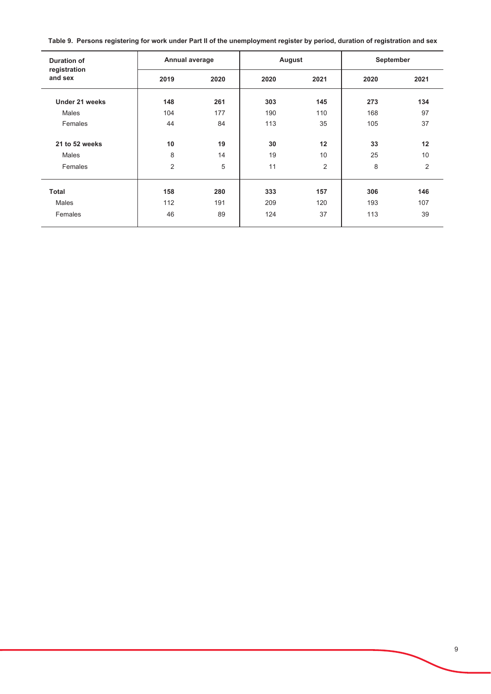Table 9. Persons registering for work under Part II of the unemployment register by period, duration of registration and sex

| <b>Duration of</b>      | Annual average |      | August |                | September |      |  |  |
|-------------------------|----------------|------|--------|----------------|-----------|------|--|--|
| registration<br>and sex | 2019           | 2020 | 2020   | 2021           | 2020      | 2021 |  |  |
| Under 21 weeks          | 148            | 261  | 303    | 145            | 273       | 134  |  |  |
| Males                   | 104            | 177  | 190    | 110            | 168       | 97   |  |  |
| Females                 | 44             | 84   | 113    | 35             | 105       | 37   |  |  |
| 21 to 52 weeks          | 10             | 19   | 30     | 12             | 33        | 12   |  |  |
| Males                   | 8              | 14   | 19     | 10             | 25        | 10   |  |  |
| Females                 | $\overline{c}$ | 5    | 11     | $\overline{2}$ | 8         | 2    |  |  |
| <b>Total</b>            | 158            | 280  | 333    | 157            | 306       | 146  |  |  |
| <b>Males</b>            | 112            | 191  | 209    | 120            | 193       | 107  |  |  |
| Females                 | 46             | 89   | 124    | 37             | 113       | 39   |  |  |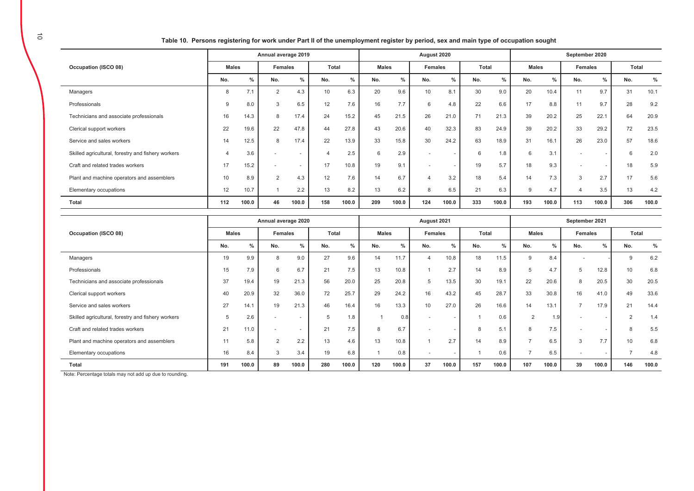Table 10. Persons registering for work under Part II of the unemployment register by period, sex and main type of occupation sought

|                                                    | Annual average 2019 |       |                |                          |       |               | August 2020  |               |                 |               |       |               |              | September 2020 |         |                          |       |       |  |  |
|----------------------------------------------------|---------------------|-------|----------------|--------------------------|-------|---------------|--------------|---------------|-----------------|---------------|-------|---------------|--------------|----------------|---------|--------------------------|-------|-------|--|--|
| Occupation (ISCO 08)                               | <b>Males</b>        |       | <b>Females</b> |                          | Total |               | <b>Males</b> |               | <b>Females</b>  |               | Total |               | <b>Males</b> |                | Females |                          | Total |       |  |  |
|                                                    | No.                 | $\%$  | No.            | $\frac{0}{0}$            | No.   | $\frac{0}{0}$ | No.          | $\frac{0}{0}$ | No.             | $\frac{0}{0}$ | No.   | $\frac{0}{0}$ | No.          | $\frac{0}{0}$  | No.     | $\%$                     | No.   | $\%$  |  |  |
| Managers                                           | 8                   | 7.1   | 2              | 4.3                      | 10    | 6.3           | 20           | 9.6           | 10 <sup>1</sup> | 8.1           | 30    | 9.0           | 20           | 10.4           | 11      | 9.7                      | 31    | 10.1  |  |  |
| Professionals                                      | 9                   | 8.0   | 3              | 6.5                      | 12    | 7.6           | 16           | 7.7           | 6               | 4.8           | 22    | 6.6           | 17           | 8.8            | 11      | 9.7                      | 28    | 9.2   |  |  |
| Technicians and associate professionals            | 16                  | 14.3  | 8              | 17.4                     | 24    | 15.2          | 45           | 21.5          | 26              | 21.0          | 71    | 21.3          | 39           | 20.2           | 25      | 22.1                     | 64    | 20.9  |  |  |
| Clerical support workers                           | 22                  | 19.6  | 22             | 47.8                     | 44    | 27.8          | 43           | 20.6          | 40              | 32.3          | 83    | 24.9          | 39           | 20.2           | 33      | 29.2                     | 72    | 23.5  |  |  |
| Service and sales workers                          | 14                  | 12.5  | 8              | 17.4                     | 22    | 13.9          | 33           | 15.8          | 30              | 24.2          | 63    | 18.9          | 31           | 16.1           | 26      | 23.0                     | 57    | 18.6  |  |  |
| Skilled agricultural, forestry and fishery workers |                     | 3.6   |                | $\overline{\phantom{a}}$ |       | 2.5           | 6            | 2.9           |                 |               | 6     | 1.8           | 6            | 3.1            |         | $\overline{\phantom{a}}$ | 6     | 2.0   |  |  |
| Craft and related trades workers                   | 17                  | 15.2  | $\overline{a}$ | $\overline{\phantom{a}}$ | 17    | 10.8          | 19           | 9.1           | $\sim$          |               | 19    | 5.7           | 18           | 9.3            |         | $\overline{\phantom{a}}$ | 18    | 5.9   |  |  |
| Plant and machine operators and assemblers         | 10                  | 8.9   | $\overline{2}$ | 4.3                      | 12    | 7.6           | 14           | 6.7           |                 | 3.2           | 18    | 5.4           | 14           | 7.3            | 3       | 2.7                      | 17    | 5.6   |  |  |
| Elementary occupations                             | 12                  | 10.7  |                | 2.2                      | 13    | 8.2           | 13           | 6.2           | 8               | 6.5           | 21    | 6.3           | 9            | 4.7            |         | 3.5                      | 13    | 4.2   |  |  |
| Total                                              | 112                 | 100.0 | 46             | 100.0                    | 158   | 100.0         | 209          | 100.0         | 124             | 100.0         | 333   | 100.0         | 193          | 100.0          | 113     | 100.0                    | 306   | 100.0 |  |  |
|                                                    |                     |       |                |                          |       |               |              |               |                 |               |       |               |              |                |         |                          |       |       |  |  |

|                                                    | Annual average 2020 |       |                |                          |              |       |              | August 2021   |                          | September 2021 |       |       |                |               |                |                          |                 |               |
|----------------------------------------------------|---------------------|-------|----------------|--------------------------|--------------|-------|--------------|---------------|--------------------------|----------------|-------|-------|----------------|---------------|----------------|--------------------------|-----------------|---------------|
| Occupation (ISCO 08)                               | <b>Males</b>        |       | <b>Females</b> |                          | <b>Total</b> |       | <b>Males</b> |               | <b>Females</b>           |                | Total |       | <b>Males</b>   |               | <b>Females</b> |                          | Total           |               |
|                                                    | No.                 | $\%$  | No.            | $\frac{0}{0}$            | No.          | $\%$  | No.          | $\frac{0}{2}$ | No.                      | $\frac{0}{0}$  | No.   | %     | No.            | $\frac{9}{6}$ | No.            | $\frac{9}{6}$            | No.             | $\frac{0}{0}$ |
| Managers                                           | 19                  | 9.9   | $\mathsf{R}$   | 9.0                      | 27           | 9.6   | 14           | 11.7          |                          | 10.8           | 18    | 11.5  | 9              | 8.4           |                |                          | 9               | 6.2           |
| Professionals                                      | 15                  | 7.9   | 6              | 6.7                      | 21           | 7.5   | 13           | 10.8          |                          | 2.7            | 14    | 8.9   | 5              | 4.7           | 5              | 12.8                     | 10              | 6.8           |
| Technicians and associate professionals            | 37                  | 19.4  | 19             | 21.3                     | 56           | 20.0  | 25           | 20.8          | 5                        | 13.5           | 30    | 19.1  | 22             | 20.6          | 8              | 20.5                     | 30              | 20.5          |
| Clerical support workers                           | 40                  | 20.9  | 32             | 36.0                     | 72           | 25.7  | 29           | 24.2          | 16                       | 43.2           | 45    | 28.7  | 33             | 30.8          | 16             | 41.0                     | 49              | 33.6          |
| Service and sales workers                          | 27                  | 14.1  | 19             | 21.3                     | 46           | 16.4  | 16           | 13.3          | 10                       | 27.0           | 26    | 16.6  | 14             | 13.1          | $\overline{ }$ | 17.9                     | 21              | 14.4          |
| Skilled agricultural, forestry and fishery workers |                     | 2.6   |                | $\overline{\phantom{a}}$ | 5            | 1.8   |              | 0.8           |                          |                |       | 0.6   | 2              |               |                | $\overline{\phantom{a}}$ | C               | 1.4           |
| Craft and related trades workers                   | 21                  | 11.0  |                | $\overline{\phantom{a}}$ | 21           | 7.5   | 8            | 6.7           | $\overline{\phantom{a}}$ |                |       | 5.1   | 8              | 7.5           |                | $\overline{\phantom{a}}$ | 8               | 5.5           |
| Plant and machine operators and assemblers         | 11                  | 5.8   | $\overline{2}$ | 2.2                      | 13           | 4.6   | 13           | 10.8          |                          | 2.7            | 14    | 8.9   | $\overline{ }$ | 6.5           | 3              | 7.7                      | 10 <sup>1</sup> | 6.8           |
| Elementary occupations                             | 16                  | 8.4   | 3              | 3.4                      | 19           | 6.8   |              | 0.8           | $\sim$                   |                |       | 0.6   | -              | 6.5           |                | $\overline{\phantom{a}}$ | э.              | 4.8           |
| Total                                              | 191                 | 100.0 | 89             | 100.0                    | 280          | 100.0 | 120          | 100.0         | 37                       | 100.0          | 157   | 100.0 | 107            | 100.0         | 39             | 100.0                    | 146             | 100.0         |

Note: Percentage totals may not add up due to rounding.